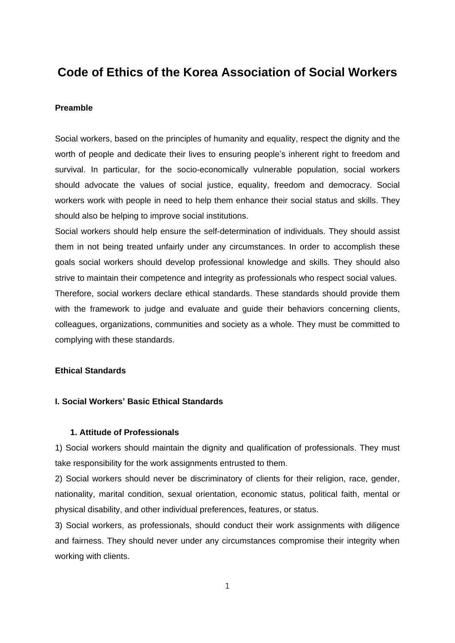# **Code of Ethics of the Korea Association of Social Workers**

#### **Preamble**

Social workers, based on the principles of humanity and equality, respect the dignity and the worth of people and dedicate their lives to ensuring people's inherent right to freedom and survival. In particular, for the socio-economically vulnerable population, social workers should advocate the values of social justice, equality, freedom and democracy. Social workers work with people in need to help them enhance their social status and skills. They should also be helping to improve social institutions.

Social workers should help ensure the self-determination of individuals. They should assist them in not being treated unfairly under any circumstances. In order to accomplish these goals social workers should develop professional knowledge and skills. They should also strive to maintain their competence and integrity as professionals who respect social values. Therefore, social workers declare ethical standards. These standards should provide them with the framework to judge and evaluate and guide their behaviors concerning clients, colleagues, organizations, communities and society as a whole. They must be committed to complying with these standards.

# **Ethical Standards**

#### **I. Social Workers' Basic Ethical Standards**

# **1. Attitude of Professionals**

1) Social workers should maintain the dignity and qualification of professionals. They must take responsibility for the work assignments entrusted to them.

2) Social workers should never be discriminatory of clients for their religion, race, gender, nationality, marital condition, sexual orientation, economic status, political faith, mental or physical disability, and other individual preferences, features, or status.

3) Social workers, as professionals, should conduct their work assignments with diligence and fairness. They should never under any circumstances compromise their integrity when working with clients.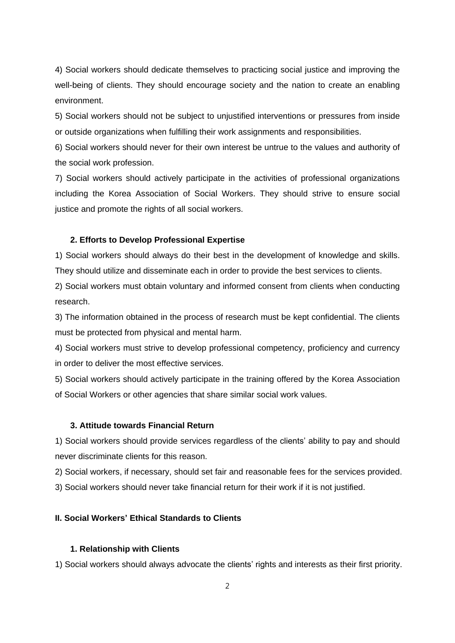4) Social workers should dedicate themselves to practicing social justice and improving the well-being of clients. They should encourage society and the nation to create an enabling environment.

5) Social workers should not be subject to unjustified interventions or pressures from inside or outside organizations when fulfilling their work assignments and responsibilities.

6) Social workers should never for their own interest be untrue to the values and authority of the social work profession.

7) Social workers should actively participate in the activities of professional organizations including the Korea Association of Social Workers. They should strive to ensure social justice and promote the rights of all social workers.

#### **2. Efforts to Develop Professional Expertise**

1) Social workers should always do their best in the development of knowledge and skills. They should utilize and disseminate each in order to provide the best services to clients.

2) Social workers must obtain voluntary and informed consent from clients when conducting research.

3) The information obtained in the process of research must be kept confidential. The clients must be protected from physical and mental harm.

4) Social workers must strive to develop professional competency, proficiency and currency in order to deliver the most effective services.

5) Social workers should actively participate in the training offered by the Korea Association of Social Workers or other agencies that share similar social work values.

# **3. Attitude towards Financial Return**

1) Social workers should provide services regardless of the clients' ability to pay and should never discriminate clients for this reason.

2) Social workers, if necessary, should set fair and reasonable fees for the services provided.

3) Social workers should never take financial return for their work if it is not justified.

# **II. Social Workers' Ethical Standards to Clients**

#### **1. Relationship with Clients**

1) Social workers should always advocate the clients' rights and interests as their first priority.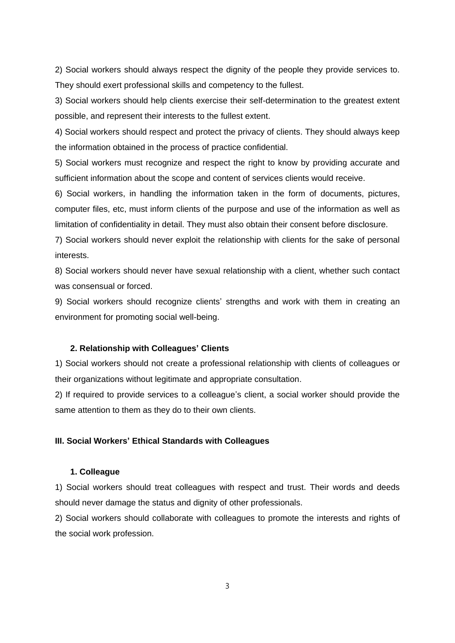2) Social workers should always respect the dignity of the people they provide services to. They should exert professional skills and competency to the fullest.

3) Social workers should help clients exercise their self-determination to the greatest extent possible, and represent their interests to the fullest extent.

4) Social workers should respect and protect the privacy of clients. They should always keep the information obtained in the process of practice confidential.

5) Social workers must recognize and respect the right to know by providing accurate and sufficient information about the scope and content of services clients would receive.

6) Social workers, in handling the information taken in the form of documents, pictures, computer files, etc, must inform clients of the purpose and use of the information as well as limitation of confidentiality in detail. They must also obtain their consent before disclosure.

7) Social workers should never exploit the relationship with clients for the sake of personal interests.

8) Social workers should never have sexual relationship with a client, whether such contact was consensual or forced.

9) Social workers should recognize clients' strengths and work with them in creating an environment for promoting social well-being.

#### **2. Relationship with Colleagues' Clients**

1) Social workers should not create a professional relationship with clients of colleagues or their organizations without legitimate and appropriate consultation.

2) If required to provide services to a colleague's client, a social worker should provide the same attention to them as they do to their own clients.

# **III. Social Workers' Ethical Standards with Colleagues**

# **1. Colleague**

1) Social workers should treat colleagues with respect and trust. Their words and deeds should never damage the status and dignity of other professionals.

2) Social workers should collaborate with colleagues to promote the interests and rights of the social work profession.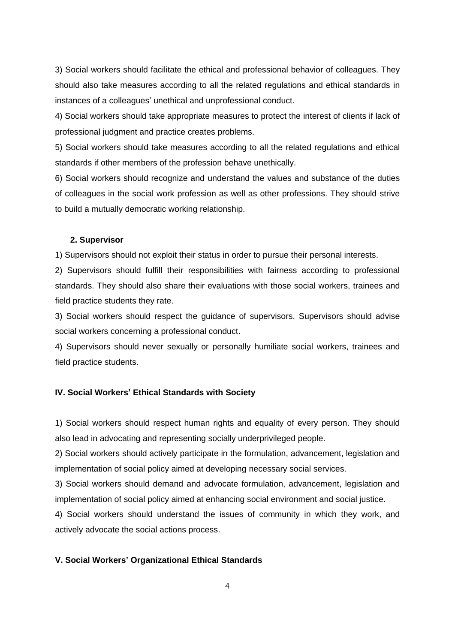3) Social workers should facilitate the ethical and professional behavior of colleagues. They should also take measures according to all the related regulations and ethical standards in instances of a colleagues' unethical and unprofessional conduct.

4) Social workers should take appropriate measures to protect the interest of clients if lack of professional judgment and practice creates problems.

5) Social workers should take measures according to all the related regulations and ethical standards if other members of the profession behave unethically.

6) Social workers should recognize and understand the values and substance of the duties of colleagues in the social work profession as well as other professions. They should strive to build a mutually democratic working relationship.

#### **2. Supervisor**

1) Supervisors should not exploit their status in order to pursue their personal interests.

2) Supervisors should fulfill their responsibilities with fairness according to professional standards. They should also share their evaluations with those social workers, trainees and field practice students they rate.

3) Social workers should respect the guidance of supervisors. Supervisors should advise social workers concerning a professional conduct.

4) Supervisors should never sexually or personally humiliate social workers, trainees and field practice students.

# **IV. Social Workers' Ethical Standards with Society**

1) Social workers should respect human rights and equality of every person. They should also lead in advocating and representing socially underprivileged people.

2) Social workers should actively participate in the formulation, advancement, legislation and implementation of social policy aimed at developing necessary social services.

3) Social workers should demand and advocate formulation, advancement, legislation and implementation of social policy aimed at enhancing social environment and social justice.

4) Social workers should understand the issues of community in which they work, and actively advocate the social actions process.

# **V. Social Workers' Organizational Ethical Standards**